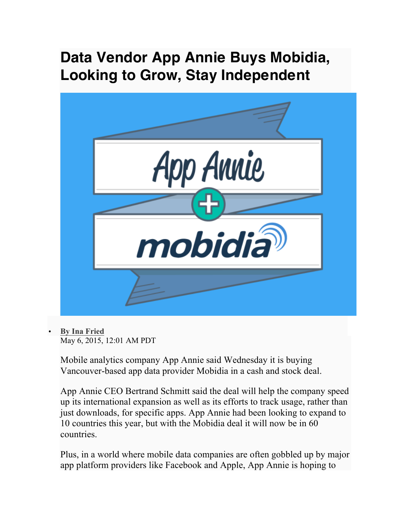## **Data Vendor App Annie Buys Mobidia, Looking to Grow, Stay Independent**



• **By Ina Fried**

May 6, 2015, 12:01 AM PDT

Mobile analytics company App Annie said Wednesday it is buying Vancouver-based app data provider Mobidia in a cash and stock deal.

App Annie CEO Bertrand Schmitt said the deal will help the company speed up its international expansion as well as its efforts to track usage, rather than just downloads, for specific apps. App Annie had been looking to expand to 10 countries this year, but with the Mobidia deal it will now be in 60 countries.

Plus, in a world where mobile data companies are often gobbled up by major app platform providers like Facebook and Apple, App Annie is hoping to